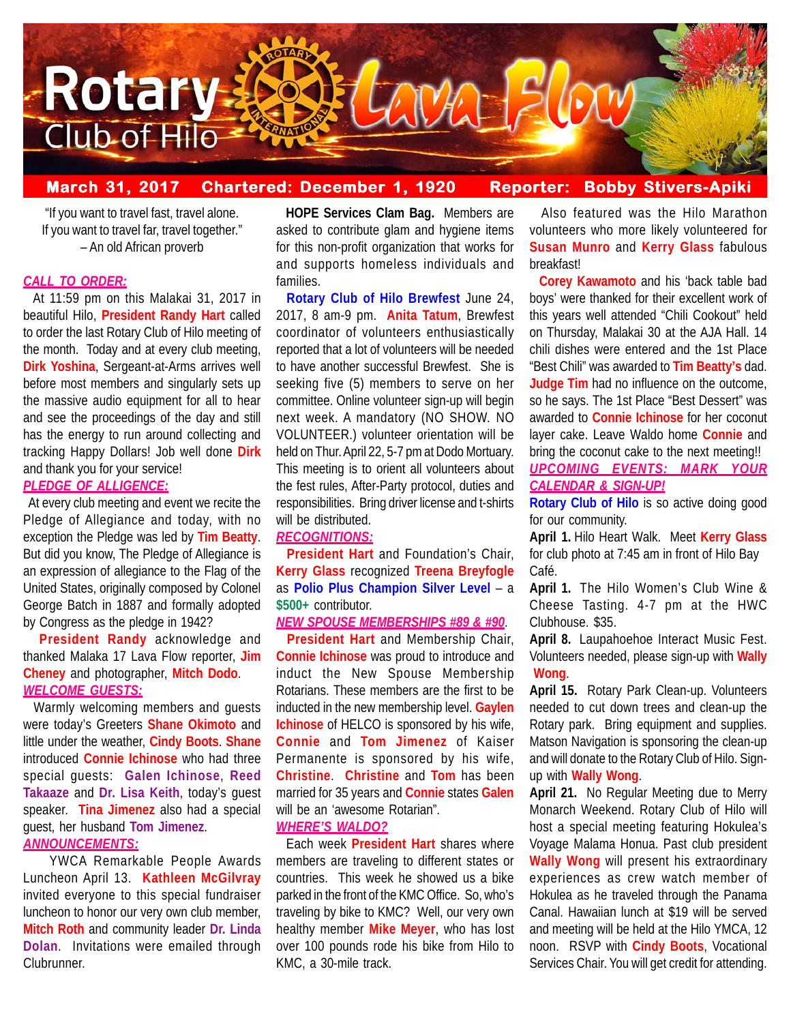

## **March 31, 2017 Chartered: December 1, 1920 Reporter: Bobby Stivers-Apiki Bobby Stivers-Apiki**

"If you want to travel fast, travel alone. If you want to travel far, travel together." – An old African proverb

## *CALL TO ORDER:*

 At 11:59 pm on this Malakai 31, 2017 in beautiful Hilo, **President Randy Hart** called to order the last Rotary Club of Hilo meeting of the month. Today and at every club meeting, **Dirk Yoshina**, Sergeant-at-Arms arrives well before most members and singularly sets up the massive audio equipment for all to hear and see the proceedings of the day and still has the energy to run around collecting and tracking Happy Dollars! Job well done **Dirk** and thank you for your service!

## *PLEDGE OF ALLIGENCE:*

 At every club meeting and event we recite the Pledge of Allegiance and today, with no exception the Pledge was led by **Tim Beatty**. But did you know, The Pledge of Allegiance is an expression of allegiance to the Flag of the United States, originally composed by Colonel George Batch in 1887 and formally adopted by Congress as the pledge in 1942?

 **President Randy** acknowledge and thanked Malaka 17 Lava Flow reporter, **Jim Cheney** and photographer, **Mitch Dodo**. *WELCOME GUESTS:*

 Warmly welcoming members and guests were today's Greeters **Shane Okimoto** and little under the weather, **Cindy Boots**. **Shane** introduced **Connie Ichinose** who had three special guests: **Galen Ichinose**, **Reed Takaaze** and **Dr. Lisa Keith**, today's guest speaker. **Tina Jimenez** also had a special guest, her husband **Tom Jimenez**. *ANNOUNCEMENTS:*

YWCA Remarkable People Awards Luncheon April 13. **Kathleen McGilvray** invited everyone to this special fundraiser luncheon to honor our very own club member, **Mitch Roth** and community leader **Dr. Linda Dolan**. Invitations were emailed through Clubrunner.

 **HOPE Services Clam Bag.** Members are asked to contribute glam and hygiene items for this non-profit organization that works for and supports homeless individuals and families.

 **Rotary Club of Hilo Brewfest** June 24, 2017, 8 am-9 pm. **Anita Tatum**, Brewfest coordinator of volunteers enthusiastically reported that a lot of volunteers will be needed to have another successful Brewfest. She is seeking five (5) members to serve on her committee. Online volunteer sign-up will begin next week. A mandatory (NO SHOW. NO VOLUNTEER.) volunteer orientation will be held on Thur. April 22, 5-7 pm at Dodo Mortuary. This meeting is to orient all volunteers about the fest rules, After-Party protocol, duties and responsibilities. Bring driver license and t-shirts will be distributed.

### *RECOGNITIONS:*

 **President Hart** and Foundation's Chair, **Kerry Glass** recognized **Treena Breyfogle** as **Polio Plus Champion Silver Level** – a **\$500+** contributor.

## *NEW SPOUSE MEMBERSHIPS #89 & #90*.

 **President Hart** and Membership Chair, **Connie Ichinose** was proud to introduce and induct the New Spouse Membership Rotarians. These members are the first to be inducted in the new membership level. **Gaylen Ichinose** of HELCO is sponsored by his wife, **Connie** and **Tom Jimenez** of Kaiser Permanente is sponsored by his wife, **Christine**. **Christine** and **Tom** has been married for 35 years and **Connie** states **Galen** will be an 'awesome Rotarian".

### *WHERE'S WALDO?*

 Each week **President Hart** shares where members are traveling to different states or countries. This week he showed us a bike parked in the front of the KMC Office. So, who's traveling by bike to KMC? Well, our very own healthy member **Mike Meyer**, who has lost over 100 pounds rode his bike from Hilo to KMC, a 30-mile track.

 Also featured was the Hilo Marathon volunteers who more likely volunteered for **Susan Munro** and **Kerry Glass** fabulous breakfast!

 **Corey Kawamoto** and his 'back table bad boys' were thanked for their excellent work of this years well attended "Chili Cookout" held on Thursday, Malakai 30 at the AJA Hall. 14 chili dishes were entered and the 1st Place "Best Chili" was awarded to **Tim Beatty's** dad. **Judge Tim** had no influence on the outcome, so he says. The 1st Place "Best Dessert" was awarded to **Connie Ichinose** for her coconut layer cake. Leave Waldo home **Connie** and bring the coconut cake to the next meeting!! *UPCOMING EVENTS: MARK YOUR CALENDAR & SIGN-UP!*

**Rotary Club of Hilo** is so active doing good for our community.

**April 1.** Hilo Heart Walk. Meet **Kerry Glass** for club photo at 7:45 am in front of Hilo Bay Café.

**April 1.** The Hilo Women's Club Wine & Cheese Tasting. 4-7 pm at the HWC Clubhouse. \$35.

**April 8.** Laupahoehoe Interact Music Fest. Volunteers needed, please sign-up with **Wally Wong**.

**April 15.** Rotary Park Clean-up. Volunteers needed to cut down trees and clean-up the Rotary park. Bring equipment and supplies. Matson Navigation is sponsoring the clean-up and will donate to the Rotary Club of Hilo. Signup with **Wally Wong**.

**April 21.** No Regular Meeting due to Merry Monarch Weekend. Rotary Club of Hilo will host a special meeting featuring Hokulea's Voyage Malama Honua. Past club president **Wally Wong** will present his extraordinary experiences as crew watch member of Hokulea as he traveled through the Panama Canal. Hawaiian lunch at \$19 will be served and meeting will be held at the Hilo YMCA, 12 noon. RSVP with **Cindy Boots**, Vocational Services Chair. You will get credit for attending.